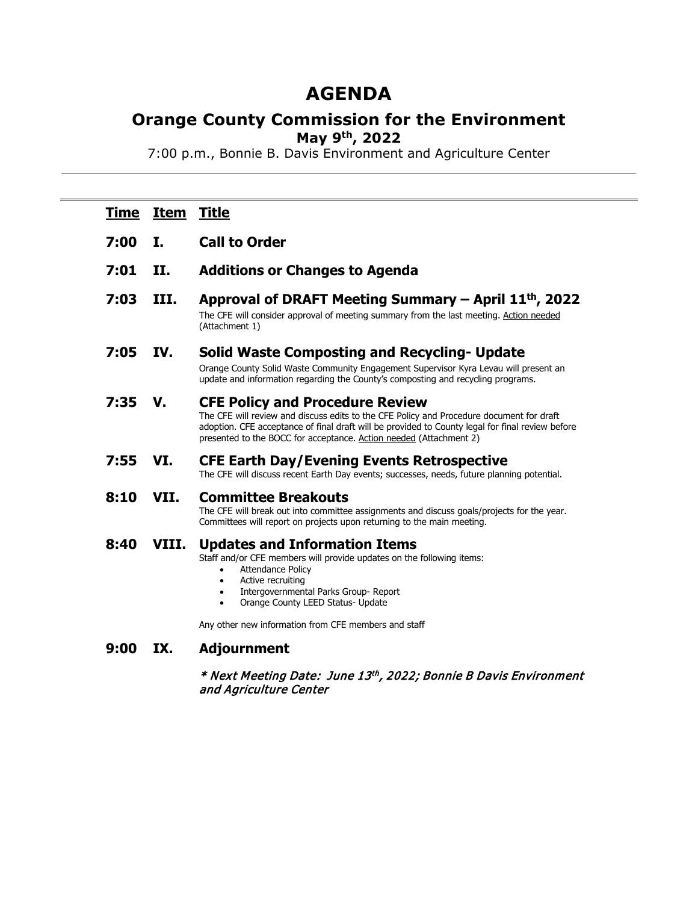# **AGENDA**

## **Orange County Commission for the Environment May 9th, 2022**

7:00 p.m., Bonnie B. Davis Environment and Agriculture Center

| <u>Time</u> | Item  | <u>Title</u>                                                                                                                                                                                                                                                                                                 |  |
|-------------|-------|--------------------------------------------------------------------------------------------------------------------------------------------------------------------------------------------------------------------------------------------------------------------------------------------------------------|--|
| 7:00        | Ι.    | <b>Call to Order</b>                                                                                                                                                                                                                                                                                         |  |
| 7:01        | II.   | <b>Additions or Changes to Agenda</b>                                                                                                                                                                                                                                                                        |  |
| 7:03        | III.  | Approval of DRAFT Meeting Summary – April 11 <sup>th</sup> , 2022<br>The CFE will consider approval of meeting summary from the last meeting. Action needed<br>(Attachment 1)                                                                                                                                |  |
| 7:05        | IV.   | <b>Solid Waste Composting and Recycling- Update</b><br>Orange County Solid Waste Community Engagement Supervisor Kyra Levau will present an<br>update and information regarding the County's composting and recycling programs.                                                                              |  |
| 7:35        | V.    | <b>CFE Policy and Procedure Review</b><br>The CFE will review and discuss edits to the CFE Policy and Procedure document for draft<br>adoption. CFE acceptance of final draft will be provided to County legal for final review before<br>presented to the BOCC for acceptance. Action needed (Attachment 2) |  |
| 7:55        | VI.   | <b>CFE Earth Day/Evening Events Retrospective</b><br>The CFE will discuss recent Earth Day events; successes, needs, future planning potential.                                                                                                                                                              |  |
| 8:10        | VII.  | <b>Committee Breakouts</b><br>The CFE will break out into committee assignments and discuss goals/projects for the year.<br>Committees will report on projects upon returning to the main meeting.                                                                                                           |  |
| 8:40        | VIII. | <b>Updates and Information Items</b><br>Staff and/or CFE members will provide updates on the following items:<br><b>Attendance Policy</b><br>$\bullet$<br>Active recruiting<br>$\bullet$<br>Intergovernmental Parks Group-Report<br>٠<br>Orange County LEED Status- Update<br>$\bullet$                      |  |
|             |       | Any other new information from CFE members and staff                                                                                                                                                                                                                                                         |  |
| 9:00        | IX.   | <b>Adjournment</b>                                                                                                                                                                                                                                                                                           |  |
|             |       | * Next Meeting Date: June 13th, 2022; Bonnie B Davis Environment<br>and Agriculture Center                                                                                                                                                                                                                   |  |
|             |       |                                                                                                                                                                                                                                                                                                              |  |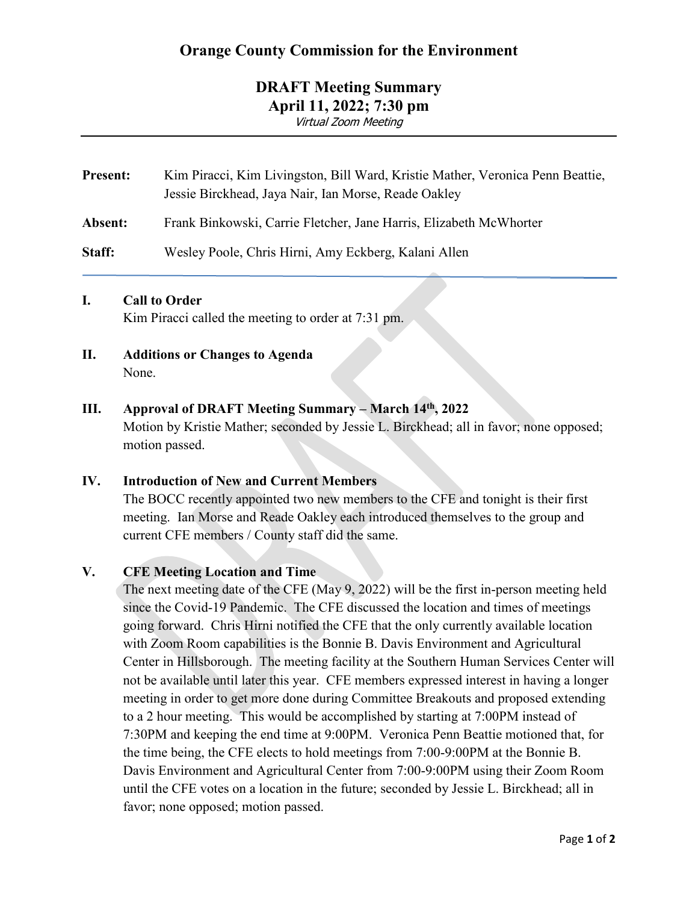## **Orange County Commission for the Environment**

## **DRAFT Meeting Summary April 11, 2022; 7:30 pm**

Virtual Zoom Meeting

| <b>Present:</b> | Kim Piracci, Kim Livingston, Bill Ward, Kristie Mather, Veronica Penn Beattie,<br>Jessie Birckhead, Jaya Nair, Ian Morse, Reade Oakley |  |  |
|-----------------|----------------------------------------------------------------------------------------------------------------------------------------|--|--|
| Absent:         | Frank Binkowski, Carrie Fletcher, Jane Harris, Elizabeth McWhorter                                                                     |  |  |
| Staff:          | Wesley Poole, Chris Hirni, Amy Eckberg, Kalani Allen                                                                                   |  |  |

## **I. Call to Order**

Kim Piracci called the meeting to order at 7:31 pm.

**II. Additions or Changes to Agenda** None.

## **III. Approval of DRAFT Meeting Summary – March 14th, 2022**

Motion by Kristie Mather; seconded by Jessie L. Birckhead; all in favor; none opposed; motion passed.

## **IV. Introduction of New and Current Members**

The BOCC recently appointed two new members to the CFE and tonight is their first meeting. Ian Morse and Reade Oakley each introduced themselves to the group and current CFE members / County staff did the same.

## **V. CFE Meeting Location and Time**

The next meeting date of the CFE (May 9, 2022) will be the first in-person meeting held since the Covid-19 Pandemic. The CFE discussed the location and times of meetings going forward. Chris Hirni notified the CFE that the only currently available location with Zoom Room capabilities is the Bonnie B. Davis Environment and Agricultural Center in Hillsborough. The meeting facility at the Southern Human Services Center will not be available until later this year. CFE members expressed interest in having a longer meeting in order to get more done during Committee Breakouts and proposed extending to a 2 hour meeting. This would be accomplished by starting at 7:00PM instead of 7:30PM and keeping the end time at 9:00PM. Veronica Penn Beattie motioned that, for the time being, the CFE elects to hold meetings from 7:00-9:00PM at the Bonnie B. Davis Environment and Agricultural Center from 7:00-9:00PM using their Zoom Room until the CFE votes on a location in the future; seconded by Jessie L. Birckhead; all in favor; none opposed; motion passed.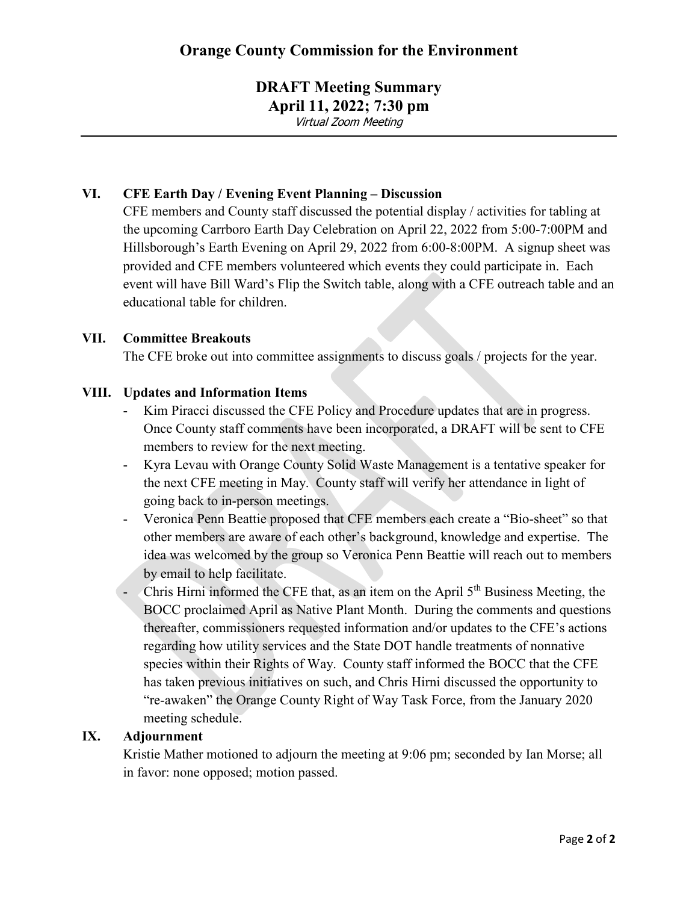# **DRAFT Meeting Summary**

**April 11, 2022; 7:30 pm**

Virtual Zoom Meeting

## **VI. CFE Earth Day / Evening Event Planning – Discussion**

CFE members and County staff discussed the potential display / activities for tabling at the upcoming Carrboro Earth Day Celebration on April 22, 2022 from 5:00-7:00PM and Hillsborough's Earth Evening on April 29, 2022 from 6:00-8:00PM. A signup sheet was provided and CFE members volunteered which events they could participate in. Each event will have Bill Ward's Flip the Switch table, along with a CFE outreach table and an educational table for children.

## **VII. Committee Breakouts**

The CFE broke out into committee assignments to discuss goals / projects for the year.

## **VIII. Updates and Information Items**

- Kim Piracci discussed the CFE Policy and Procedure updates that are in progress. Once County staff comments have been incorporated, a DRAFT will be sent to CFE members to review for the next meeting.
- Kyra Levau with Orange County Solid Waste Management is a tentative speaker for the next CFE meeting in May. County staff will verify her attendance in light of going back to in-person meetings.
- Veronica Penn Beattie proposed that CFE members each create a "Bio-sheet" so that other members are aware of each other's background, knowledge and expertise. The idea was welcomed by the group so Veronica Penn Beattie will reach out to members by email to help facilitate.
- Chris Hirni informed the CFE that, as an item on the April  $5<sup>th</sup>$  Business Meeting, the BOCC proclaimed April as Native Plant Month. During the comments and questions thereafter, commissioners requested information and/or updates to the CFE's actions regarding how utility services and the State DOT handle treatments of nonnative species within their Rights of Way. County staff informed the BOCC that the CFE has taken previous initiatives on such, and Chris Hirni discussed the opportunity to "re-awaken" the Orange County Right of Way Task Force, from the January 2020 meeting schedule.

## **IX. Adjournment**

Kristie Mather motioned to adjourn the meeting at 9:06 pm; seconded by Ian Morse; all in favor: none opposed; motion passed.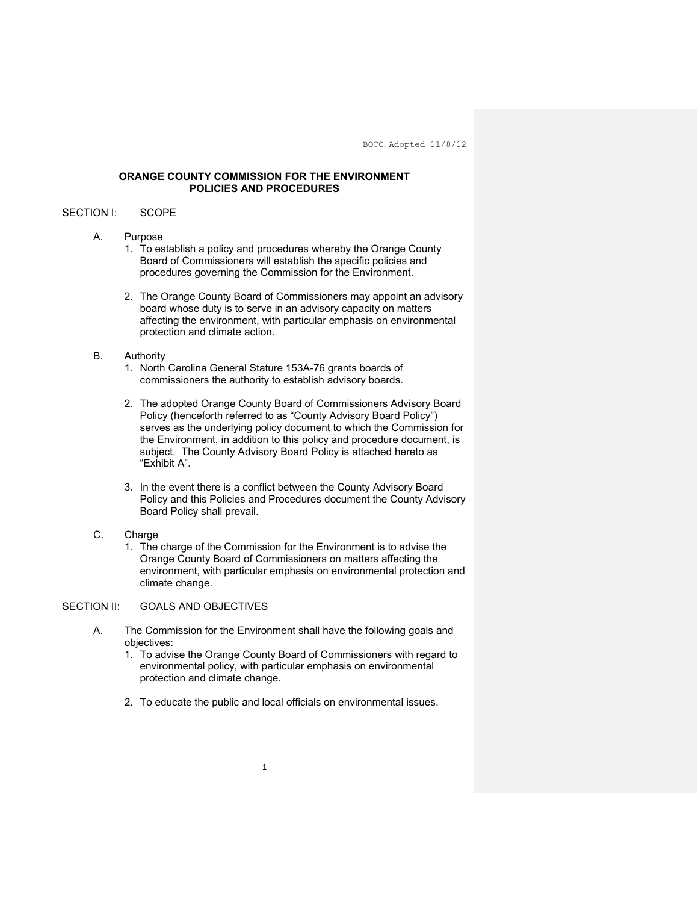#### **ORANGE COUNTY COMMISSION FOR THE ENVIRONMENT POLICIES AND PROCEDURES**

#### SECTION I: SCOPE

#### A. Purpose

- 1. To establish a policy and procedures whereby the Orange County Board of Commissioners will establish the specific policies and procedures governing the Commission for the Environment.
- 2. The Orange County Board of Commissioners may appoint an advisory board whose duty is to serve in an advisory capacity on matters affecting the environment, with particular emphasis on environmental protection and climate action.

#### B. Authority

- 1. North Carolina General Stature 153A-76 grants boards of commissioners the authority to establish advisory boards.
- 2. The adopted Orange County Board of Commissioners Advisory Board Policy (henceforth referred to as "County Advisory Board Policy") serves as the underlying policy document to which the Commission for the Environment, in addition to this policy and procedure document, is subject. The County Advisory Board Policy is attached hereto as "Exhibit A".
- 3. In the event there is a conflict between the County Advisory Board Policy and this Policies and Procedures document the County Advisory Board Policy shall prevail.
- C. Charge
	- 1. The charge of the Commission for the Environment is to advise the Orange County Board of Commissioners on matters affecting the environment, with particular emphasis on environmental protection and climate change.

#### SECTION II: GOALS AND OBJECTIVES

- A. The Commission for the Environment shall have the following goals and objectives:
	- 1. To advise the Orange County Board of Commissioners with regard to environmental policy, with particular emphasis on environmental protection and climate change.
	- 2. To educate the public and local officials on environmental issues.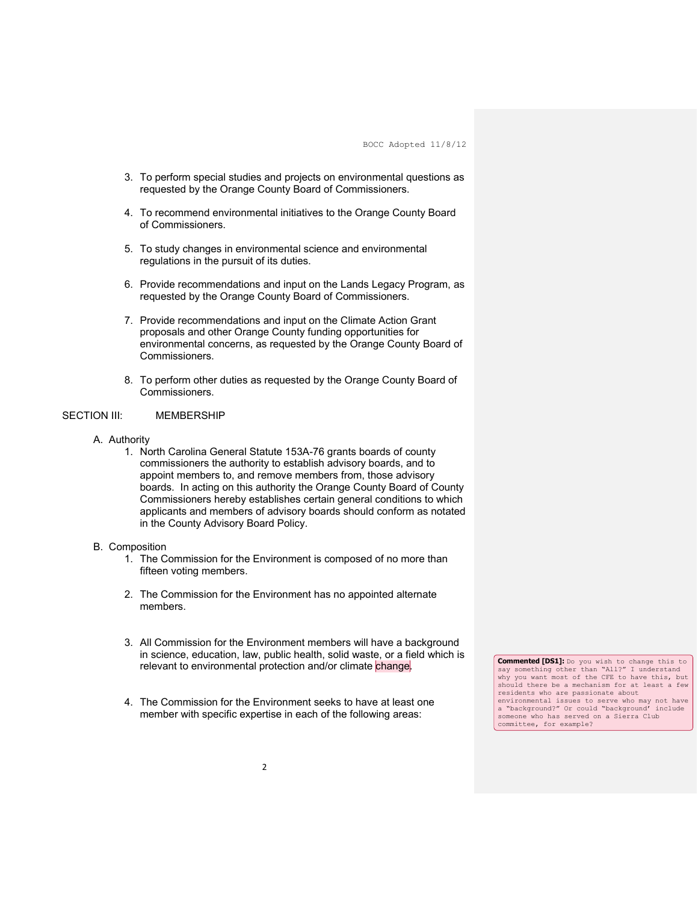- 3. To perform special studies and projects on environmental questions as requested by the Orange County Board of Commissioners.
- 4. To recommend environmental initiatives to the Orange County Board of Commissioners.
- 5. To study changes in environmental science and environmental regulations in the pursuit of its duties.
- 6. Provide recommendations and input on the Lands Legacy Program, as requested by the Orange County Board of Commissioners.
- 7. Provide recommendations and input on the Climate Action Grant proposals and other Orange County funding opportunities for environmental concerns, as requested by the Orange County Board of Commissioners.
- 8. To perform other duties as requested by the Orange County Board of Commissioners.

#### SECTION III: MEMBERSHIP

- A. Authority
	- 1. North Carolina General Statute 153A-76 grants boards of county commissioners the authority to establish advisory boards, and to appoint members to, and remove members from, those advisory boards. In acting on this authority the Orange County Board of County Commissioners hereby establishes certain general conditions to which applicants and members of advisory boards should conform as notated in the County Advisory Board Policy.

#### B. Composition

- 1. The Commission for the Environment is composed of no more than fifteen voting members.
- 2. The Commission for the Environment has no appointed alternate members.
- 3. All Commission for the Environment members will have a background in science, education, law, public health, solid waste, or a field which is relevant to environmental protection and/or climate change.
- 4. The Commission for the Environment seeks to have at least one member with specific expertise in each of the following areas:

**Commented [DS1]:** Do you wish to change this to say something other than "All?" I understand why you want most of the CFE to have this, but should there be a mechanism for at least a few residents who are passionate about environmental issues to serve who may not have a "background?" Or could "background' include someone who has served on a Sierra Club committee, for example?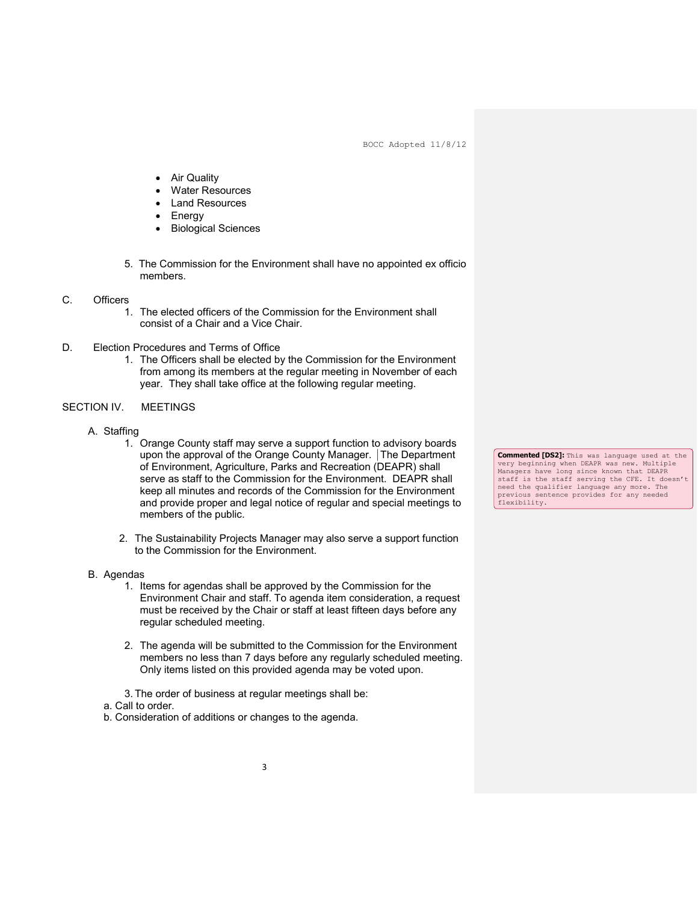- **Air Quality**
- Water Resources
- Land Resources
- **Energy**
- Biological Sciences
- 5. The Commission for the Environment shall have no appointed ex officio members.
- C. Officers
	- 1. The elected officers of the Commission for the Environment shall consist of a Chair and a Vice Chair.
- D. Election Procedures and Terms of Office
	- 1. The Officers shall be elected by the Commission for the Environment from among its members at the regular meeting in November of each year. They shall take office at the following regular meeting.

#### SECTION IV. MEETINGS

- A. Staffing
	- 1. Orange County staff may serve a support function to advisory boards upon the approval of the Orange County Manager. The Department of Environment, Agriculture, Parks and Recreation (DEAPR) shall serve as staff to the Commission for the Environment. DEAPR shall keep all minutes and records of the Commission for the Environment and provide proper and legal notice of regular and special meetings to members of the public.
	- 2. The Sustainability Projects Manager may also serve a support function to the Commission for the Environment.
- B. Agendas
	- 1. Items for agendas shall be approved by the Commission for the Environment Chair and staff. To agenda item consideration, a request must be received by the Chair or staff at least fifteen days before any regular scheduled meeting.
	- 2. The agenda will be submitted to the Commission for the Environment members no less than 7 days before any regularly scheduled meeting. Only items listed on this provided agenda may be voted upon.
	- 3. The order of business at regular meetings shall be:
	- a. Call to order.

b. Consideration of additions or changes to the agenda.

**Commented [DS2]:** This was language used at the very beginning when DEAPR was new. Multiple Managers have long since known that DEAPR staff is the staff serving the CFE. It doesn't need the qualifier language any more. The previous sentence provides for any needed flexibility.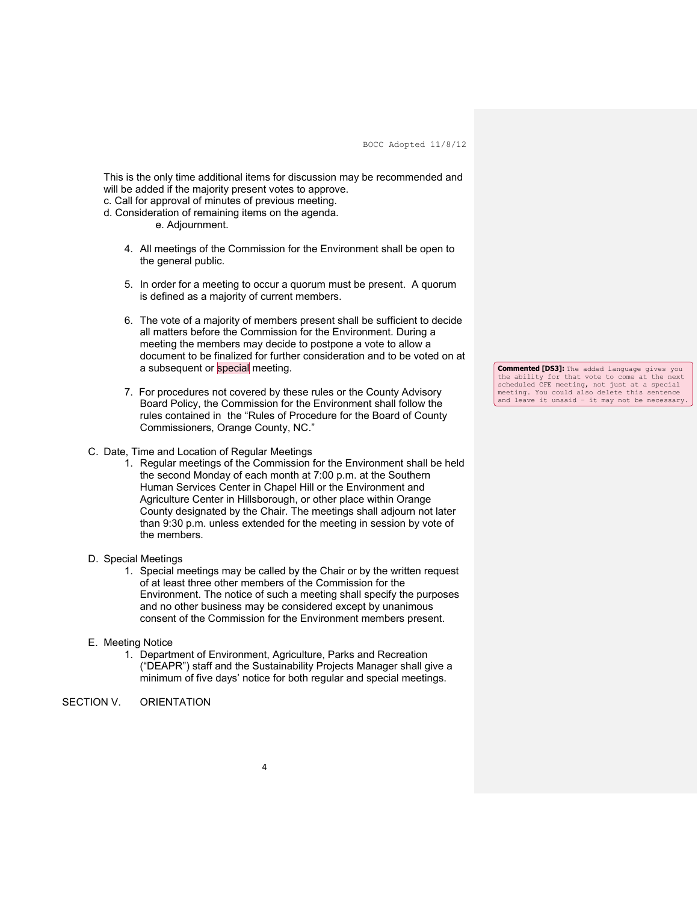This is the only time additional items for discussion may be recommended and will be added if the majority present votes to approve.

- c. Call for approval of minutes of previous meeting.
- d. Consideration of remaining items on the agenda.

e. Adjournment.

- 4. All meetings of the Commission for the Environment shall be open to the general public.
- 5. In order for a meeting to occur a quorum must be present. A quorum is defined as a majority of current members.
- 6. The vote of a majority of members present shall be sufficient to decide all matters before the Commission for the Environment. During a meeting the members may decide to postpone a vote to allow a document to be finalized for further consideration and to be voted on at a subsequent or special meeting.
- 7. For procedures not covered by these rules or the County Advisory Board Policy, the Commission for the Environment shall follow the rules contained in the "Rules of Procedure for the Board of County Commissioners, Orange County, NC."
- C. Date, Time and Location of Regular Meetings
	- 1. Regular meetings of the Commission for the Environment shall be held the second Monday of each month at 7:00 p.m. at the Southern Human Services Center in Chapel Hill or the Environment and Agriculture Center in Hillsborough, or other place within Orange County designated by the Chair. The meetings shall adjourn not later than 9:30 p.m. unless extended for the meeting in session by vote of the members.
- D. Special Meetings
	- 1. Special meetings may be called by the Chair or by the written request of at least three other members of the Commission for the Environment. The notice of such a meeting shall specify the purposes and no other business may be considered except by unanimous consent of the Commission for the Environment members present.
- E. Meeting Notice
	- 1. Department of Environment, Agriculture, Parks and Recreation ("DEAPR") staff and the Sustainability Projects Manager shall give a minimum of five days' notice for both regular and special meetings.
- SECTION V. ORIENTATION

**Commented [DS3]:** The added language gives you the ability for that vote to come at the next scheduled CFE meeting, not just at a special meeting. You could also delete this sentence and leave it unsaid – it may not be necessary.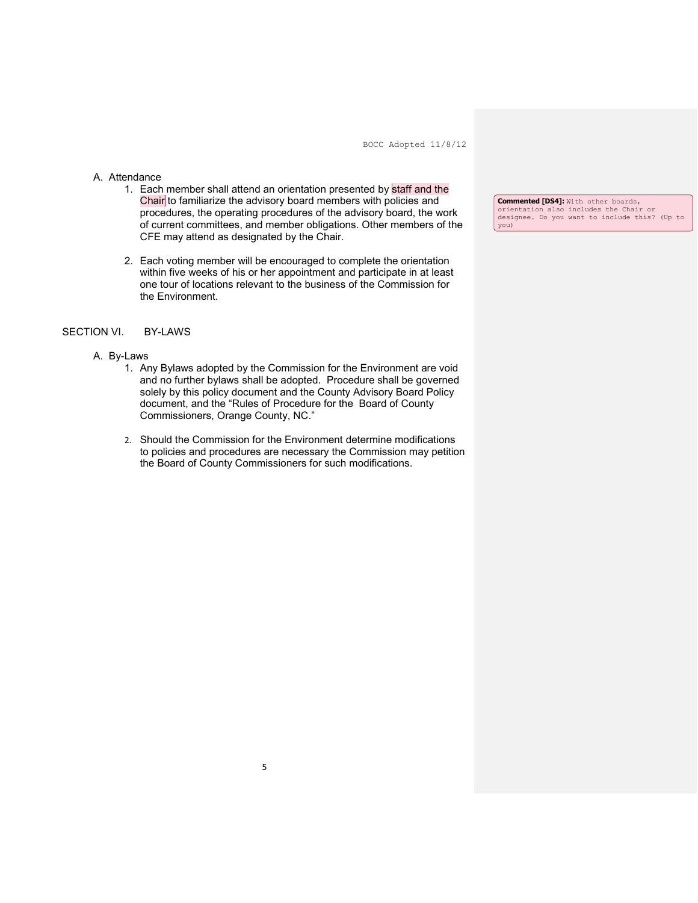#### A. Attendance

- 1. Each member shall attend an orientation presented by staff and the Chair to familiarize the advisory board members with policies and procedures, the operating procedures of the advisory board, the work of current committees, and member obligations. Other members of the CFE may attend as designated by the Chair.
- 2. Each voting member will be encouraged to complete the orientation within five weeks of his or her appointment and participate in at least one tour of locations relevant to the business of the Commission for the Environment.

#### SECTION VI. BY-LAWS

#### A. By-Laws

- 1. Any Bylaws adopted by the Commission for the Environment are void and no further bylaws shall be adopted. Procedure shall be governed solely by this policy document and the County Advisory Board Policy document, and the "Rules of Procedure for the Board of County Commissioners, Orange County, NC."
- 2. Should the Commission for the Environment determine modifications to policies and procedures are necessary the Commission may petition the Board of County Commissioners for such modifications.

**Commented [DS4]:** With other boards, orientation also includes the Chair or designee. Do you want to include this? (Up to you)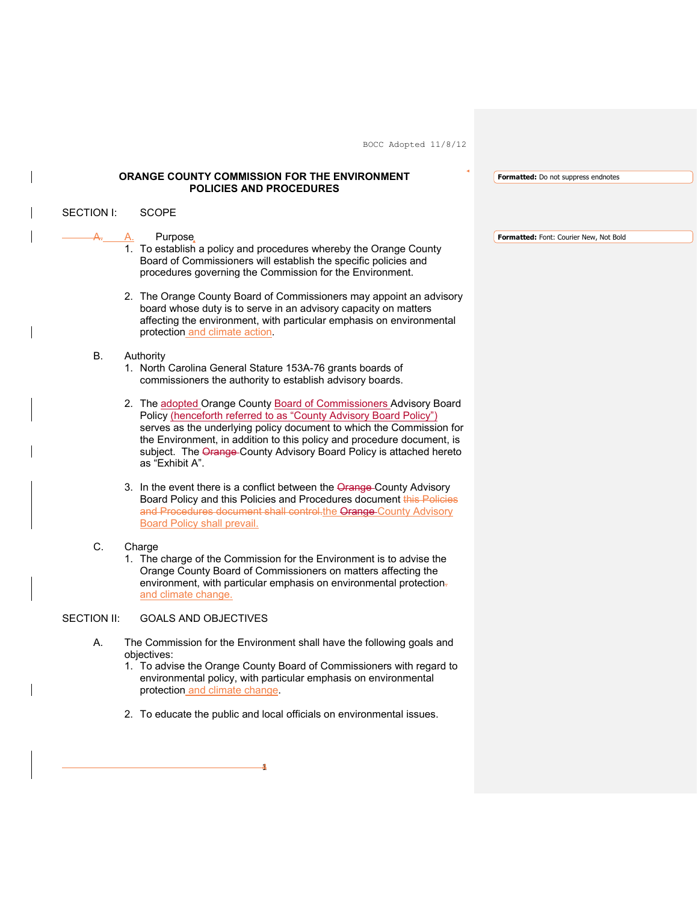### **ORANGE COUNTY COMMISSION FOR THE ENVIRONMENT POLICIES AND PROCEDURES**

 $-4$ 

**Formatted:** Do not suppress endnotes

| <b>SECTION I:</b>  | <b>SCOPE</b>                                                                                                                                                                                                                                                                                                                                                                        |                                        |
|--------------------|-------------------------------------------------------------------------------------------------------------------------------------------------------------------------------------------------------------------------------------------------------------------------------------------------------------------------------------------------------------------------------------|----------------------------------------|
|                    | Purpose,<br>А.                                                                                                                                                                                                                                                                                                                                                                      | Formatted: Font: Courier New, Not Bold |
|                    | 1. To establish a policy and procedures whereby the Orange County<br>Board of Commissioners will establish the specific policies and<br>procedures governing the Commission for the Environment.                                                                                                                                                                                    |                                        |
|                    | 2. The Orange County Board of Commissioners may appoint an advisory<br>board whose duty is to serve in an advisory capacity on matters<br>affecting the environment, with particular emphasis on environmental<br>protection and climate action.                                                                                                                                    |                                        |
| <b>B.</b>          | Authority                                                                                                                                                                                                                                                                                                                                                                           |                                        |
|                    | 1. North Carolina General Stature 153A-76 grants boards of<br>commissioners the authority to establish advisory boards.                                                                                                                                                                                                                                                             |                                        |
|                    | 2. The adopted Orange County Board of Commissioners Advisory Board<br>Policy (henceforth referred to as "County Advisory Board Policy")<br>serves as the underlying policy document to which the Commission for<br>the Environment, in addition to this policy and procedure document, is<br>subject. The Orange-County Advisory Board Policy is attached hereto<br>as "Exhibit A". |                                        |
|                    | 3. In the event there is a conflict between the Orange-County Advisory<br>Board Policy and this Policies and Procedures document this Policies<br>and Procedures document shall control the Orange County Advisory<br><b>Board Policy shall prevail.</b>                                                                                                                            |                                        |
| C.                 | Charge<br>1. The charge of the Commission for the Environment is to advise the<br>Orange County Board of Commissioners on matters affecting the<br>environment, with particular emphasis on environmental protection-<br>and climate change.                                                                                                                                        |                                        |
| <b>SECTION II:</b> | <b>GOALS AND OBJECTIVES</b>                                                                                                                                                                                                                                                                                                                                                         |                                        |
| А.                 | The Commission for the Environment shall have the following goals and<br>objectives:                                                                                                                                                                                                                                                                                                |                                        |
|                    | 1. To advise the Orange County Board of Commissioners with regard to<br>environmental policy, with particular emphasis on environmental<br>protection and climate change.                                                                                                                                                                                                           |                                        |
|                    | 2. To educate the public and local officials on environmental issues.                                                                                                                                                                                                                                                                                                               |                                        |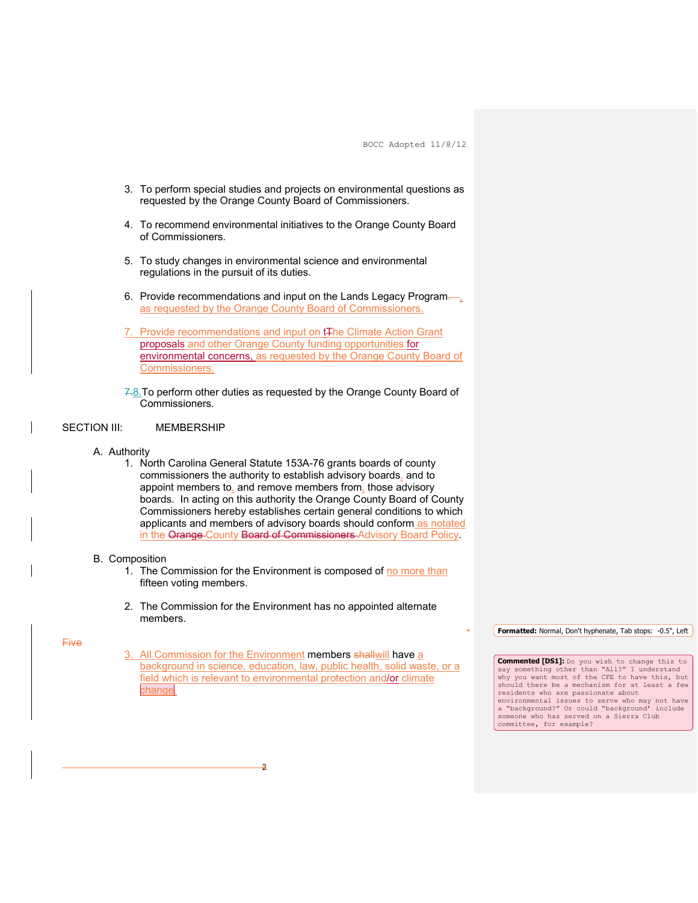- 3. To perform special studies and projects on environmental questions as requested by the Orange County Board of Commissioners.
- 4. To recommend environmental initiatives to the Orange County Board of Commissioners.
- 5. To study changes in environmental science and environmental regulations in the pursuit of its duties.
- 6. Provide recommendations and input on the Lands Legacy Programas requested by the Orange County Board of Commissioners.
- 7. Provide recommendations and input on t<sub>The Climate Action Grant</sub> proposals and other Orange County funding opportunities for environmental concerns, as requested by the Orange County Board of Commissioners.
- 7.8. To perform other duties as requested by the Orange County Board of Commissioners.

#### SECTION III: MEMBERSHIP

- A. Authority
	- 1. North Carolina General Statute 153A-76 grants boards of county commissioners the authority to establish advisory boards, and to appoint members to, and remove members from, those advisory boards. In acting on this authority the Orange County Board of County Commissioners hereby establishes certain general conditions to which applicants and members of advisory boards should conform as notated in the Orange County Board of Commissioners Advisory Board Policy.

#### B. Composition

- 1. The Commission for the Environment is composed of no more than fifteen voting members.
- 2. The Commission for the Environment has no appointed alternate members.

#### Five

All Commission for the Environment members shallwill have a background in science, education, law, public health, solid waste, or a field which is relevant to environmental protection and/or climate change

24

**Formatted:** Normal, Don't hyphenate, Tab stops: -0.5", Left

**Commented [DS1]:** Do you wish to change this to say something other than "All?" I understand why you want most of the CFE to have this, but should there be a mechanism for at least a few residents who are passionate about environmental issues to serve who may not have a "background?" Or could "background' include someone who has served on a Sierra Club committee, for example?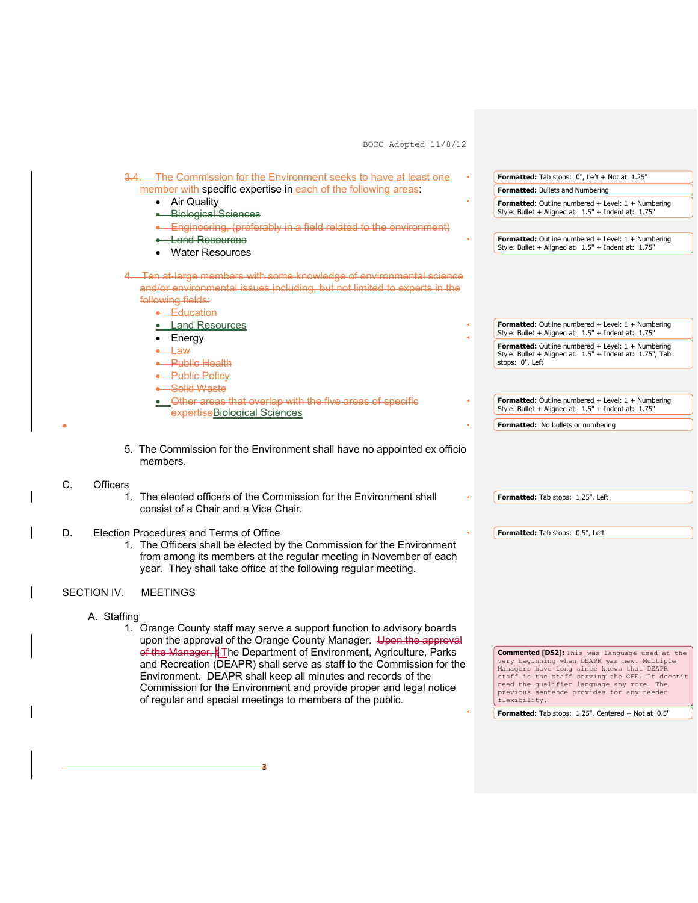

34

•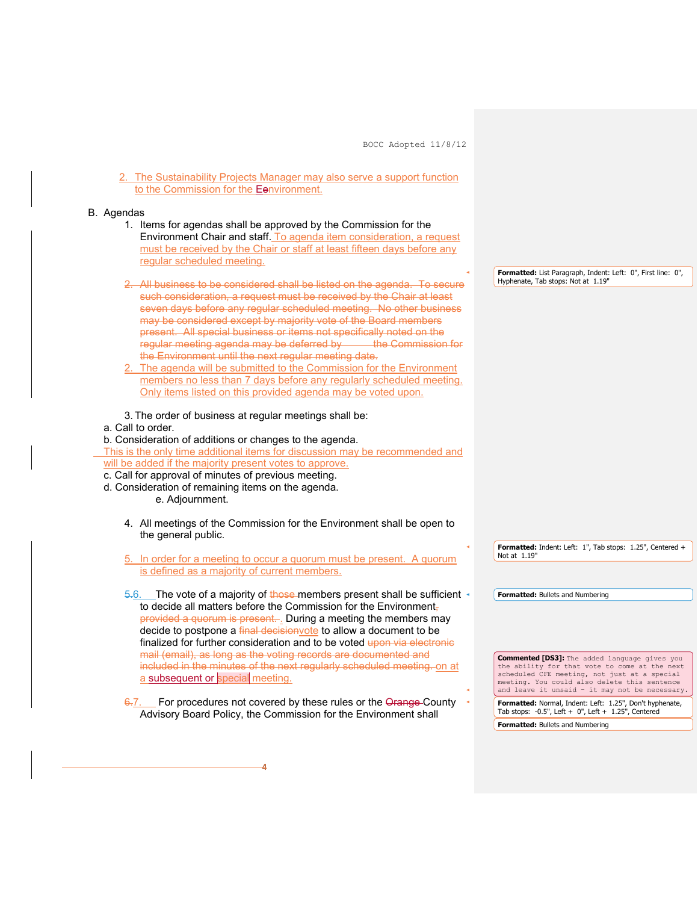2. The Sustainability Projects Manager may also serve a support function to the Commission for the Eenvironment.

#### B. Agendas

- 1. Items for agendas shall be approved by the Commission for the Environment Chair and staff. To agenda item consideration, a request must be received by the Chair or staff at least fifteen days before any regular scheduled meeting.
- 2. All business to be considered shall be listed on the agenda. To secure such consideration, a request must be received by the Chair at least seven days before any regular scheduled meeting. No other business may be considered except by majority vote of the Board members present. All special business or items not specifically noted on the requirement of the special business of the<br>requiar meeting agenda may be deferred by the Commission for regular meeting agenda may be deferred by the Environment until the next regular meeting date.
- 2. The agenda will be submitted to the Commission for the Environment members no less than 7 days before any regularly scheduled meeting. Only items listed on this provided agenda may be voted upon.
- 3. The order of business at regular meetings shall be:
- a. Call to order.
- b. Consideration of additions or changes to the agenda.

This is the only time additional items for discussion may be recommended and will be added if the majority present votes to approve.

- c. Call for approval of minutes of previous meeting.
- d. Consideration of remaining items on the agenda. e. Adjournment.
	- 4. All meetings of the Commission for the Environment shall be open to the general public.
	- 5. In order for a meeting to occur a quorum must be present. A quorum is defined as a majority of current members.
	- 5.6. The vote of a majority of those members present shall be sufficient to decide all matters before the Commission for the Environment, provided a quorum is present.... During a meeting the members may decide to postpone a final decision vote to allow a document to be finalized for further consideration and to be voted upon via electronic mail (email), as long as the voting records are documented and included in the minutes of the next regularly scheduled meeting. on at a subsequent or special meeting.
	- 6.7. For procedures not covered by these rules or the Orange County Advisory Board Policy, the Commission for the Environment shall

4

**Formatted:** List Paragraph, Indent: Left: 0", First line: 0", Hyphenate, Tab stops: Not at 1.19"

**Formatted:** Indent: Left: 1", Tab stops: 1.25", Centered + Not at 1.19"

**Formatted:** Bullets and Numbering

**Commented [DS3]:** The added language gives you the ability for that vote to come at the next scheduled CFE meeting, not just at a special meeting. You could also delete this sentence and leave it unsaid – it may not be necessary.

**Formatted:** Normal, Indent: Left: 1.25", Don't hyphenate, Tab stops: -0.5", Left + 0", Left + 1.25", Centered **Formatted:** Bullets and Numbering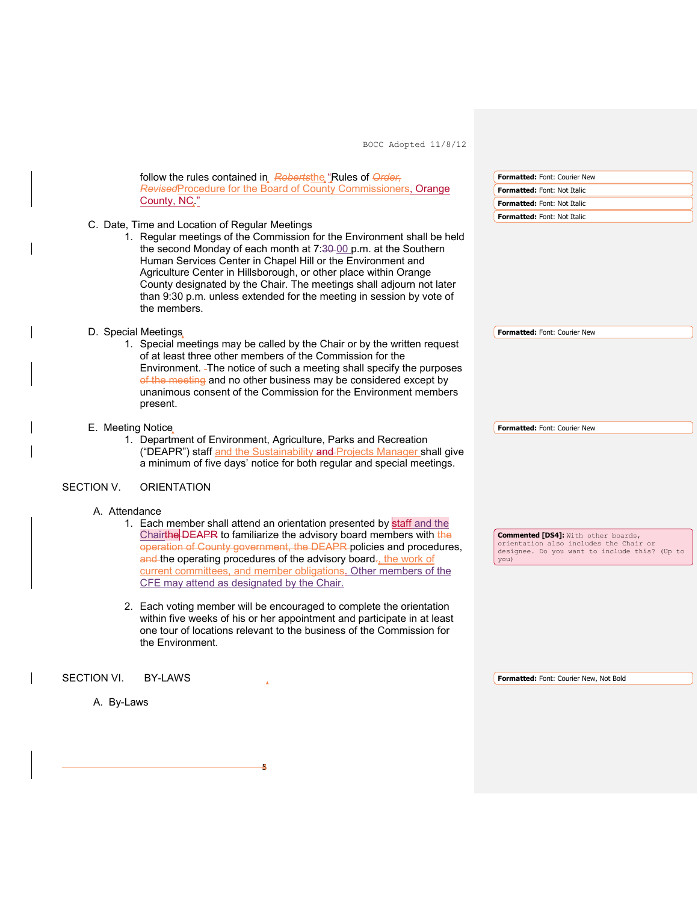

54